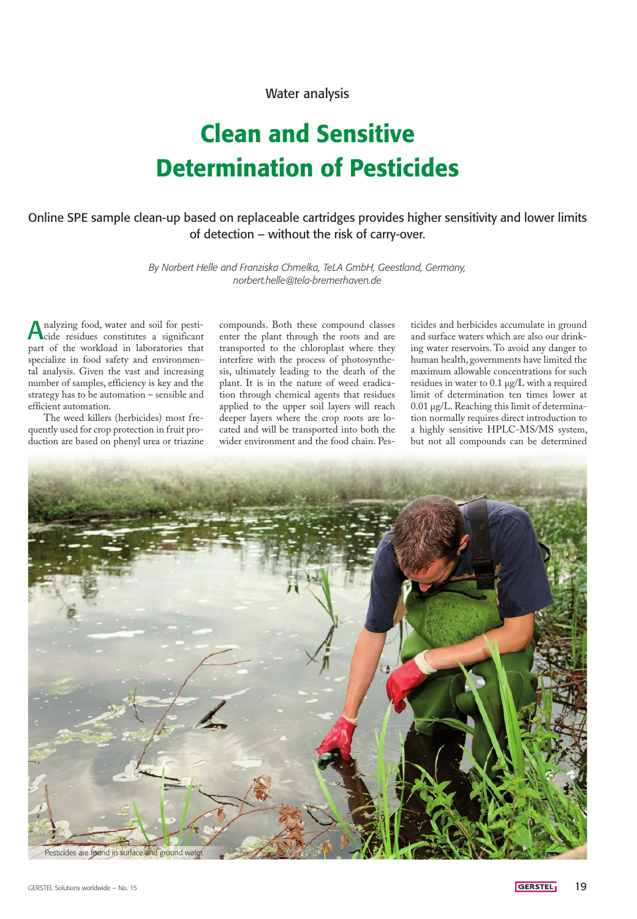## Water analysis

# Clean and Sensitive Determination of Pesticides

## Online SPE sample clean-up based on replaceable cartridges provides higher sensitivity and lower limits of detection – without the risk of carry-over.

*By Norbert Helle and Franziska Chmelka, TeLA GmbH, Geestland, Germany, norbert.helle@tela-bremerhaven.de*

nalyzing food, water and soil for pesticide residues constitutes a significant part of the workload in laboratories that specialize in food safety and environmental analysis. Given the vast and increasing number of samples, efficiency is key and the strategy has to be automation – sensible and efficient automation.

The weed killers (herbicides) most frequently used for crop protection in fruit production are based on phenyl urea or triazine

compounds. Both these compound classes enter the plant through the roots and are transported to the chloroplast where they interfere with the process of photosynthesis, ultimately leading to the death of the plant. It is in the nature of weed eradication through chemical agents that residues applied to the upper soil layers will reach deeper layers where the crop roots are located and will be transported into both the wider environment and the food chain. Pes-

ticides and herbicides accumulate in ground and surface waters which are also our drinking water reservoirs. To avoid any danger to human health, governments have limited the maximum allowable concentrations for such residues in water to 0.1 µg/L with a required limit of determination ten times lower at 0.01 µg/L. Reaching this limit of determination normally requires direct introduction to a highly sensitive HPLC-MS/MS system, but not all compounds can be determined

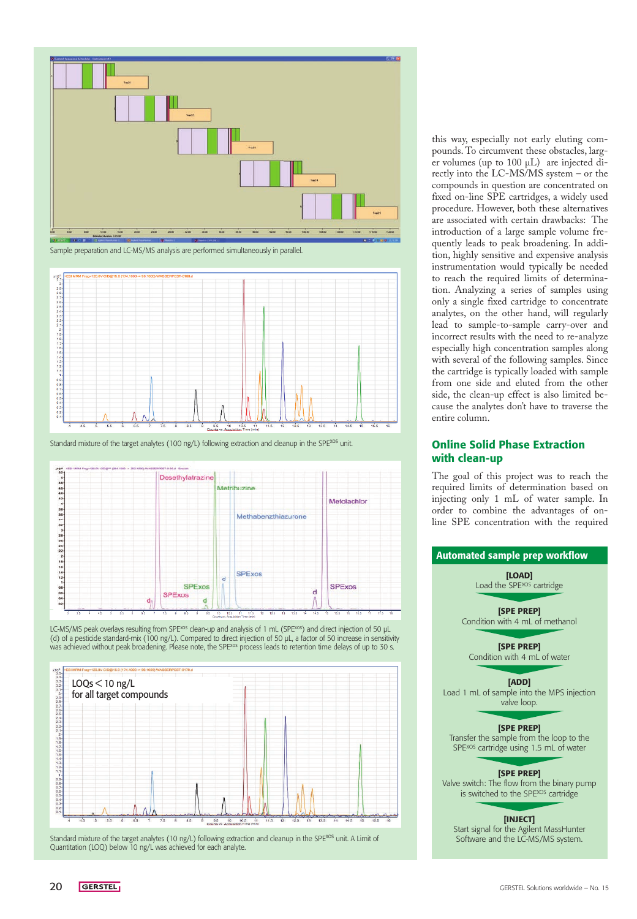





Standard mixture of the target analytes (100 ng/L) following extraction and cleanup in the SPE<sup>xos</sup> unit.



LC-MS/MS peak overlays resulting from SPE<sup>xos</sup> clean-up and analysis of 1 mL (SPE<sup>xos</sup>) and direct injection of 50 µL (d) of a pesticide standard-mix (100 ng/L). Compared to direct injection of 50 µL, a factor of 50 increase in sensitivity<br>was achieved without peak broadening. Please note, the SPE<sup>xos</sup> process leads to retention time dela



Standard mixture of the target analytes (10 ng/L) following extraction and cleanup in the SPE<sup>xos</sup> unit. A Limit of Quantitation (LOQ) below 10 ng/L was achieved for each analyte.

this way, especially not early eluting compounds. To circumvent these obstacles, larger volumes (up to 100 µL) are injected directly into the LC-MS/MS system – or the compounds in question are concentrated on fixed on-line SPE cartridges, a widely used procedure. However, both these alternatives are associated with certain drawbacks: The introduction of a large sample volume frequently leads to peak broadening. In addition, highly sensitive and expensive analysis instrumentation would typically be needed to reach the required limits of determination. Analyzing a series of samples using only a single fixed cartridge to concentrate analytes, on the other hand, will regularly lead to sample-to-sample carry-over and incorrect results with the need to re-analyze especially high concentration samples along with several of the following samples. Since the cartridge is typically loaded with sample from one side and eluted from the other side, the clean-up effect is also limited because the analytes don't have to traverse the entire column.

## Online Solid Phase Extraction with clean-up

The goal of this project was to reach the required limits of determination based on injecting only 1 mL of water sample. In order to combine the advantages of online SPE concentration with the required